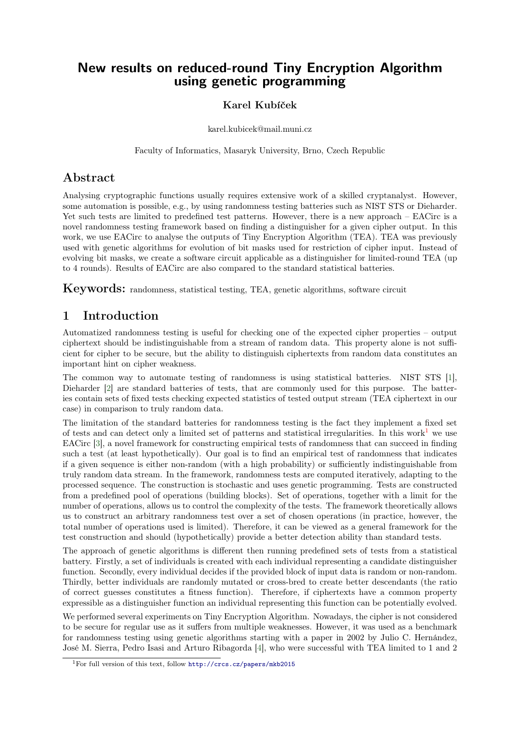# New results on reduced-round Tiny Encryption Algorithm using genetic programming

#### Karel Kubíček

karel.kubicek@mail.muni.cz

Faculty of Informatics, Masaryk University, Brno, Czech Republic

# Abstract

Analysing cryptographic functions usually requires extensive work of a skilled cryptanalyst. However, some automation is possible, e.g., by using randomness testing batteries such as NIST STS or Dieharder. Yet such tests are limited to predefined test patterns. However, there is a new approach – EACirc is a novel randomness testing framework based on finding a distinguisher for a given cipher output. In this work, we use EACirc to analyse the outputs of Tiny Encryption Algorithm (TEA). TEA was previously used with genetic algorithms for evolution of bit masks used for restriction of cipher input. Instead of evolving bit masks, we create a software circuit applicable as a distinguisher for limited-round TEA (up to 4 rounds). Results of EACirc are also compared to the standard statistical batteries.

Keywords: randomness, statistical testing, TEA, genetic algorithms, software circuit

# 1 Introduction

Automatized randomness testing is useful for checking one of the expected cipher properties – output ciphertext should be indistinguishable from a stream of random data. This property alone is not sufficient for cipher to be secure, but the ability to distinguish ciphertexts from random data constitutes an important hint on cipher weakness.

The common way to automate testing of randomness is using statistical batteries. NIST STS [\[1\]](#page-1-0), Dieharder [\[2\]](#page-1-1) are standard batteries of tests, that are commonly used for this purpose. The batteries contain sets of fixed tests checking expected statistics of tested output stream (TEA ciphertext in our case) in comparison to truly random data.

The limitation of the standard batteries for randomness testing is the fact they implement a fixed set of tests and can detect only a limited set of patterns and statistical irregularities. In this work<sup>[1](#page-0-0)</sup> we use EACirc [\[3\]](#page-1-2), a novel framework for constructing empirical tests of randomness that can succeed in finding such a test (at least hypothetically). Our goal is to find an empirical test of randomness that indicates if a given sequence is either non-random (with a high probability) or sufficiently indistinguishable from truly random data stream. In the framework, randomness tests are computed iteratively, adapting to the processed sequence. The construction is stochastic and uses genetic programming. Tests are constructed from a predefined pool of operations (building blocks). Set of operations, together with a limit for the number of operations, allows us to control the complexity of the tests. The framework theoretically allows us to construct an arbitrary randomness test over a set of chosen operations (in practice, however, the total number of operations used is limited). Therefore, it can be viewed as a general framework for the test construction and should (hypothetically) provide a better detection ability than standard tests.

The approach of genetic algorithms is different then running predefined sets of tests from a statistical battery. Firstly, a set of individuals is created with each individual representing a candidate distinguisher function. Secondly, every individual decides if the provided block of input data is random or non-random. Thirdly, better individuals are randomly mutated or cross-bred to create better descendants (the ratio of correct guesses constitutes a fitness function). Therefore, if ciphertexts have a common property expressible as a distinguisher function an individual representing this function can be potentially evolved.

We performed several experiments on Tiny Encryption Algorithm. Nowadays, the cipher is not considered to be secure for regular use as it suffers from multiple weaknesses. However, it was used as a benchmark for randomness testing using genetic algorithms starting with a paper in 2002 by Julio C. Hernández, José M. Sierra, Pedro Isasi and Arturo Ribagorda [\[4\]](#page-1-3), who were successful with TEA limited to 1 and 2

<span id="page-0-0"></span><sup>1</sup>For full version of this text, follow <http://crcs.cz/papers/mkb2015>